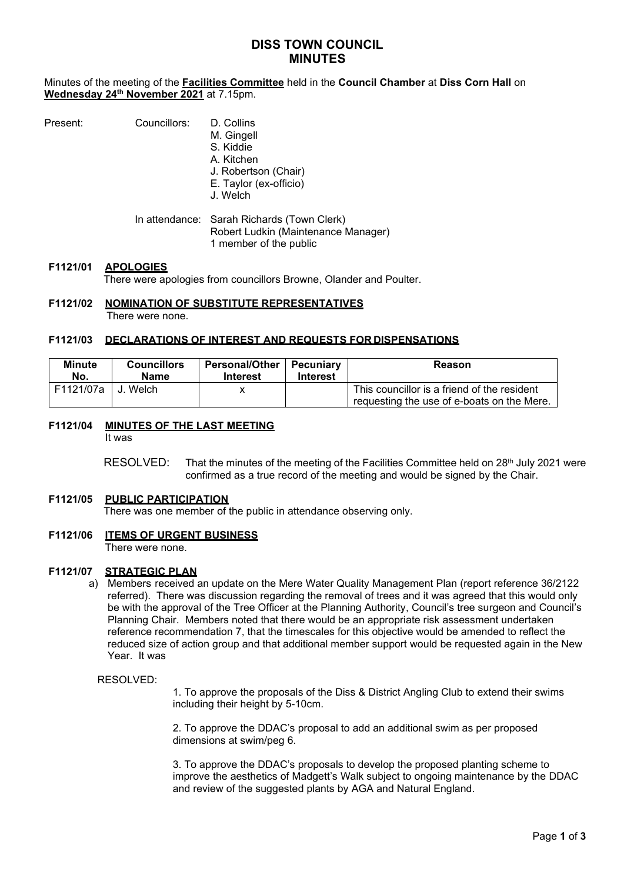# **DISS TOWN COUNCIL MINUTES**

Minutes of the meeting of the **Facilities Committee** held in the **Council Chamber** at **Diss Corn Hall** on **Wednesday 24th November 2021** at 7.15pm.

| Present: | Councillors: | D. Collins<br>M. Gingell<br>S. Kiddie<br>A. Kitchen<br>J. Robertson (Chair)<br>E. Taylor (ex-officio)<br>J. Welch |
|----------|--------------|-------------------------------------------------------------------------------------------------------------------|
|          |              | In attendance: Sarah Richards (Town Clerk)<br>Robert Ludkin (Maintenance Manager)<br>1 member of the public       |
|          |              |                                                                                                                   |

#### **F1121/01 APOLOGIES** There were apologies from councillors Browne, Olander and Poulter.

#### **F1121/02 NOMINATION OF SUBSTITUTE REPRESENTATIVES** There were none.

### **F1121/03 DECLARATIONS OF INTEREST AND REQUESTS FOR DISPENSATIONS**

| <b>Minute</b><br>No. | <b>Councillors</b><br>Name | Personal/Other   Pecuniary<br>Interest | <b>Interest</b> | Reason                                                                                    |
|----------------------|----------------------------|----------------------------------------|-----------------|-------------------------------------------------------------------------------------------|
| F1121/07a I          | <b>↓J. Welch</b>           |                                        |                 | This councillor is a friend of the resident<br>requesting the use of e-boats on the Mere. |

**F1121/04 MINUTES OF THE LAST MEETING**

It was

RESOLVED: That the minutes of the meeting of the Facilities Committee held on 28<sup>th</sup> July 2021 were confirmed as a true record of the meeting and would be signed by the Chair.

# **F1121/05 PUBLIC PARTICIPATION**

There was one member of the public in attendance observing only.

### **F1121/06 ITEMS OF URGENT BUSINESS**

There were none.

### **F1121/07 STRATEGIC PLAN**

a) Members received an update on the Mere Water Quality Management Plan (report reference 36/2122 referred). There was discussion regarding the removal of trees and it was agreed that this would only be with the approval of the Tree Officer at the Planning Authority, Council's tree surgeon and Council's Planning Chair. Members noted that there would be an appropriate risk assessment undertaken reference recommendation 7, that the timescales for this objective would be amended to reflect the reduced size of action group and that additional member support would be requested again in the New Year. It was

RESOLVED:

1. To approve the proposals of the Diss & District Angling Club to extend their swims including their height by 5-10cm.

2. To approve the DDAC's proposal to add an additional swim as per proposed dimensions at swim/peg 6.

3. To approve the DDAC's proposals to develop the proposed planting scheme to improve the aesthetics of Madgett's Walk subject to ongoing maintenance by the DDAC and review of the suggested plants by AGA and Natural England.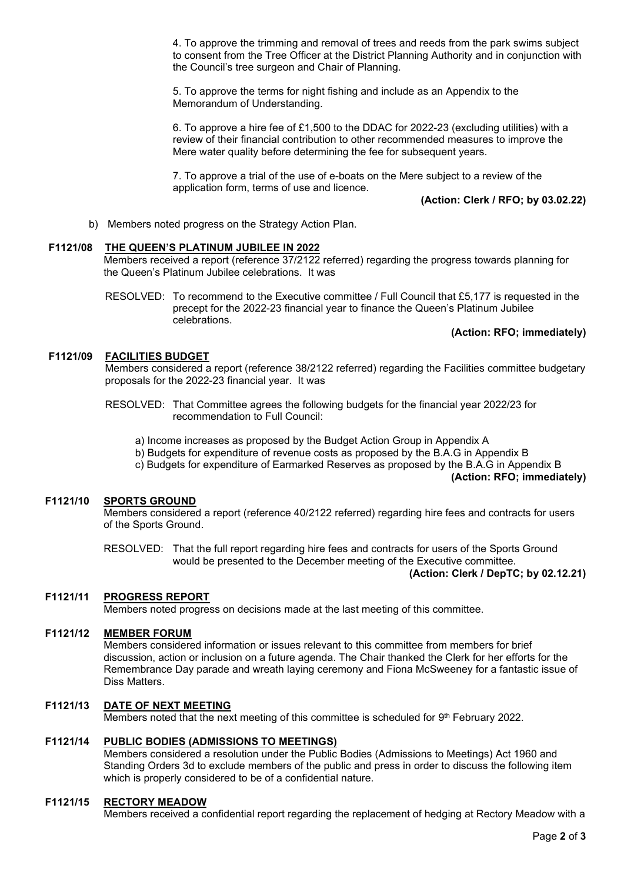4. To approve the trimming and removal of trees and reeds from the park swims subject to consent from the Tree Officer at the District Planning Authority and in conjunction with the Council's tree surgeon and Chair of Planning.

5. To approve the terms for night fishing and include as an Appendix to the Memorandum of Understanding.

6. To approve a hire fee of £1,500 to the DDAC for 2022-23 (excluding utilities) with a review of their financial contribution to other recommended measures to improve the Mere water quality before determining the fee for subsequent years.

7. To approve a trial of the use of e-boats on the Mere subject to a review of the application form, terms of use and licence.

**(Action: Clerk / RFO; by 03.02.22)**

b) Members noted progress on the Strategy Action Plan.

# **F1121/08 THE QUEEN'S PLATINUM JUBILEE IN 2022**

Members received a report (reference 37/2122 referred) regarding the progress towards planning for the Queen's Platinum Jubilee celebrations. It was

RESOLVED: To recommend to the Executive committee / Full Council that £5,177 is requested in the precept for the 2022-23 financial year to finance the Queen's Platinum Jubilee celebrations.

# **(Action: RFO; immediately)**

# **F1121/09 FACILITIES BUDGET**

Members considered a report (reference 38/2122 referred) regarding the Facilities committee budgetary proposals for the 2022-23 financial year. It was

RESOLVED: That Committee agrees the following budgets for the financial year 2022/23 for recommendation to Full Council:

a) Income increases as proposed by the Budget Action Group in Appendix A

- b) Budgets for expenditure of revenue costs as proposed by the B.A.G in Appendix B
- c) Budgets for expenditure of Earmarked Reserves as proposed by the B.A.G in Appendix B

**(Action: RFO; immediately)**

# **F1121/10 SPORTS GROUND**

Members considered a report (reference 40/2122 referred) regarding hire fees and contracts for users of the Sports Ground.

RESOLVED: That the full report regarding hire fees and contracts for users of the Sports Ground would be presented to the December meeting of the Executive committee.

## **(Action: Clerk / DepTC; by 02.12.21)**

### **F1121/11 PROGRESS REPORT**

Members noted progress on decisions made at the last meeting of this committee.

### **F1121/12 MEMBER FORUM**

Members considered information or issues relevant to this committee from members for brief discussion, action or inclusion on a future agenda. The Chair thanked the Clerk for her efforts for the Remembrance Day parade and wreath laying ceremony and Fiona McSweeney for a fantastic issue of Diss Matters.

## **F1121/13 DATE OF NEXT MEETING**

Members noted that the next meeting of this committee is scheduled for 9<sup>th</sup> February 2022.

# **F1121/14 PUBLIC BODIES (ADMISSIONS TO MEETINGS)**

Members considered a resolution under the Public Bodies (Admissions to Meetings) Act 1960 and Standing Orders 3d to exclude members of the public and press in order to discuss the following item which is properly considered to be of a confidential nature.

### **F1121/15 RECTORY MEADOW**

Members received a confidential report regarding the replacement of hedging at Rectory Meadow with a